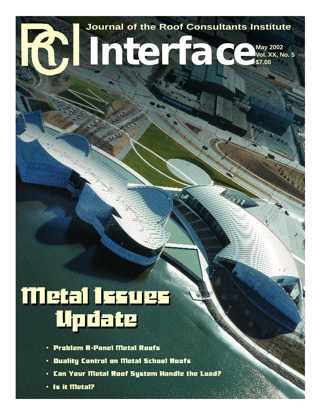

# **Interface May 2002 Vol. XX, No. 5 \$7.00**

# we<mark>t:1153025</mark><br>Update

- **Problem R-Panel Metal Roofs •**
- **Duality Control on Metal School Roofs •**
- Can Your Metal Roof System Handle the Load?
- Is it Metal?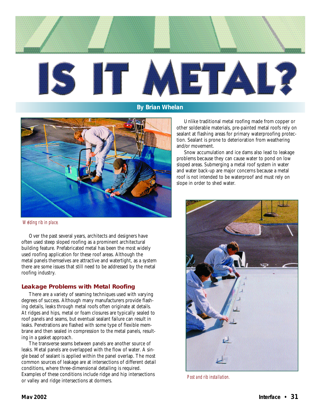

**By Brian Whelan**



*Welding rib in place.*

Over the past several years, architects and designers have often used steep sloped roofing as a prominent architectural building feature. Prefabricated metal has been the most widely used roofing application for these roof areas. Although the metal panels themselves are attractive and watertight, as a system there are some issues that still need to be addressed by the metal roofing industry.

### **Leakage Problems with Metal Roofing**

There are a variety of seaming techniques used with varying degrees of success. Although many manufacturers provide flashing details, leaks through metal roofs often originate at details. At ridges and hips, metal or foam closures are typically sealed to roof panels and seams, but eventual sealant failure can result in leaks. Penetrations are flashed with some type of flexible membrane and then sealed in compression to the metal panels, resulting in a gasket approach.

The transverse seams between panels are another source of leaks. Metal panels are overlapped with the flow of water. A single bead of sealant is applied within the panel overlap. The most common sources of leakage are at intersections of different detail conditions, where three-dimensional detailing is required. Examples of these conditions include ridge and hip intersections or valley and ridge intersections at dormers.

Unlike traditional metal roofing made from copper or other solderable materials, pre-painted metal roofs rely on sealant at flashing areas for primary waterproofing protection. Sealant is prone to deterioration from weathering and/or movement.

Snow accumulation and ice dams also lead to leakage problems because they can cause water to pond on low sloped areas. Submerging a metal roof system in water and water back-up are major concerns because a metal roof is not intended to be waterproof and must rely on slope in order to shed water.



*Post and rib installation.*